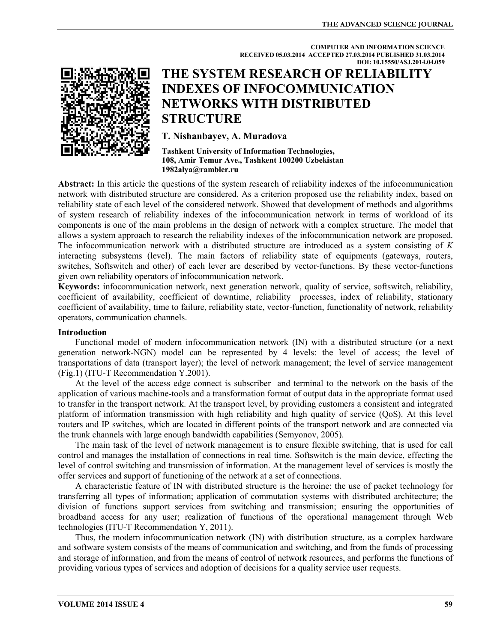**COMPUTER AND INFORMATION SCIENCE** 

**RECEIVED 05.03.2014 ACCEPTED 27.03.2014 PUBLISHED 31.03.2014** 

# **DOI: 10.15550/ASJ.2014.04.059 THE SYSTEM RESEARCH OF RELIABILITY INDEXES OF INFOCOMMUNICATION NETWORKS WITH DISTRIBUTED STRUCTURE**

# **T. Nishanbayev, A. Muradova**

**Tashkent University of Information Technologies, 108, Amir Temur Ave., Tashkent 100200 Uzbekistan 1982alya@rambler.ru** 

**Abstract:** In this article the questions of the system research of reliability indexes of the infocommunication network with distributed structure are considered. As a criterion proposed use the reliability index, based on reliability state of each level of the considered network. Showed that development of methods and algorithms of system research of reliability indexes of the infocommunication network in terms of workload of its components is one of the main problems in the design of network with a complex structure. The model that allows a system approach to research the reliability indexes of the infocommunication network are proposed. The infocommunication network with a distributed structure are introduced as a system consisting of *K*  interacting subsystems (level). The main factors of reliability state of equipments (gateways, routers, switches, Softswitch and other) of each lever are described by vector-functions. By these vector-functions given own reliability operators of infocommunication network.

**Keywords:** infocommunication network, next generation network, quality of service, softswitch, reliability, coefficient of availability, coefficient of downtime, reliability processes, index of reliability, stationary coefficient of availability, time to failure, reliability state, vector-function, functionality of network, reliability operators, communication channels.

## **Introduction**

Functional model of modern infocommunication network (IN) with a distributed structure (or a next generation network-NGN) model can be represented by 4 levels: the level of access; the level of transportations of data (transport layer); the level of network management; the level of service management (Fig.1) (ITU-T Recommendation Y.2001).

At the level of the access edge connect is subscriber and terminal to the network on the basis of the application of various machine-tools and a transformation format of output data in the appropriate format used to transfer in the transport network. At the transport level, by providing customers a consistent and integrated platform of information transmission with high reliability and high quality of service (QoS). At this level routers and IP switches, which are located in different points of the transport network and are connected via the trunk channels with large enough bandwidth capabilities (Semyonov, 2005).

The main task of the level of network management is to ensure flexible switching, that is used for call control and manages the installation of connections in real time. Softswitch is the main device, effecting the level of control switching and transmission of information. At the management level of services is mostly the offer services and support of functioning of the network at a set of connections.

A characteristic feature of IN with distributed structure is the heroine: the use of packet technology for transferring all types of information; application of commutation systems with distributed architecture; the division of functions support services from switching and transmission; ensuring the opportunities of broadband access for any user; realization of functions of the operational management through Web technologies (ITU-T Recommendation Y, 2011).

Thus, the modern infocommunication network (IN) with distribution structure, as a complex hardware and software system consists of the means of communication and switching, and from the funds of processing and storage of information, and from the means of control of network resources, and performs the functions of providing various types of services and adoption of decisions for a quality service user requests.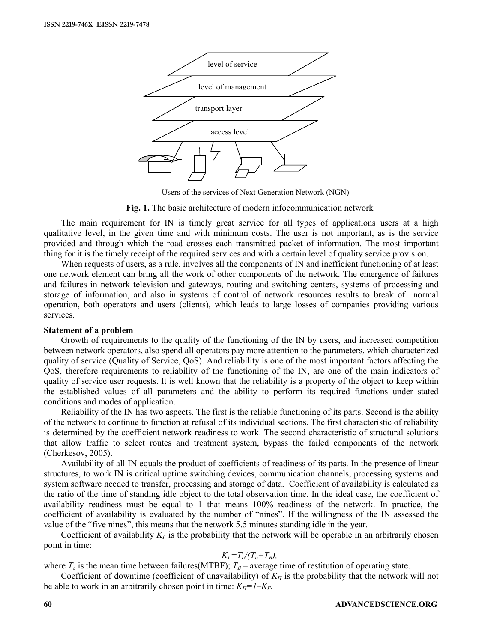

Users of the services of Next Generation Network (NGN)

**Fig. 1.** The basic architecture of modern infocommunication network

The main requirement for IN is timely great service for all types of applications users at a high qualitative level, in the given time and with minimum costs. The user is not important, as is the service provided and through which the road crosses each transmitted packet of information. The most important thing for it is the timely receipt of the required services and with a certain level of quality service provision.

When requests of users, as a rule, involves all the components of IN and inefficient functioning of at least one network element can bring all the work of other components of the network. The emergence of failures and failures in network television and gateways, routing and switching centers, systems of processing and storage of information, and also in systems of control of network resources results to break of normal operation, both operators and users (clients), which leads to large losses of companies providing various services.

#### **Statement of a problem**

Growth of requirements to the quality of the functioning of the IN by users, and increased competition between network operators, also spend all operators pay more attention to the parameters, which characterized quality of service (Quality of Service, QoS). And reliability is one of the most important factors affecting the QoS, therefore requirements to reliability of the functioning of the IN, are one of the main indicators of quality of service user requests. It is well known that the reliability is a property of the object to keep within the established values of all parameters and the ability to perform its required functions under stated conditions and modes of application.

Reliability of the IN has two aspects. The first is the reliable functioning of its parts. Second is the ability of the network to continue to function at refusal of its individual sections. The first characteristic of reliability is determined by the coefficient network readiness to work. The second characteristic of structural solutions that allow traffic to select routes and treatment system, bypass the failed components of the network (Cherkesov, 2005).

Availability of all IN equals the product of coefficients of readiness of its parts. In the presence of linear structures, to work IN is critical uptime switching devices, communication channels, processing systems and system software needed to transfer, processing and storage of data. Coefficient of availability is calculated as the ratio of the time of standing idle object to the total observation time. In the ideal case, the coefficient of availability readiness must be equal to 1 that means 100% readiness of the network. In practice, the coefficient of availability is evaluated by the number of "nines". If the willingness of the IN assessed the value of the "five nines", this means that the network 5.5 minutes standing idle in the year.

Coefficient of availability  $K<sub>\Gamma</sub>$  is the probability that the network will be operable in an arbitrarily chosen point in time:

### $K_f = T_o/(T_o + T_B)$

where  $T<sub>o</sub>$  is the mean time between failures(MTBF);  $T<sub>B</sub>$  – average time of restitution of operating state.

Coefficient of downtime (coefficient of unavailability) of  $K<sub>II</sub>$  is the probability that the network will not be able to work in an arbitrarily chosen point in time:  $K_{\Pi} = I - K_{\Gamma}$ .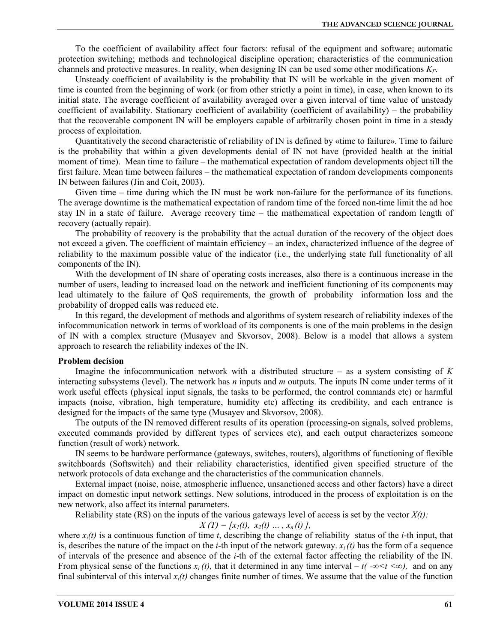To the coefficient of availability affect four factors: refusal of the equipment and software; automatic protection switching; methods and technological discipline operation; characteristics of the communication channels and protective measures. In reality, when designing IN can be used some other modifications *KГ*.

Unsteady coefficient of availability is the probability that IN will be workable in the given moment of time is counted from the beginning of work (or from other strictly a point in time), in case, when known to its initial state. The average coefficient of availability averaged over a given interval of time value of unsteady coefficient of availability. Stationary coefficient of availability (coefficient of availability) – the probability that the recoverable component IN will be employers capable of arbitrarily chosen point in time in a steady process of exploitation.

Quantitatively the second characteristic of reliability of IN is defined by «time to failure». Time to failure is the probability that within a given developments denial of IN not have (provided health at the initial moment of time). Mean time to failure – the mathematical expectation of random developments object till the first failure. Mean time between failures – the mathematical expectation of random developments components IN between failures (Jin and Coit, 2003).

Given time – time during which the IN must be work non-failure for the performance of its functions. The average downtime is the mathematical expectation of random time of the forced non-time limit the ad hoc stay IN in a state of failure. Average recovery time – the mathematical expectation of random length of recovery (actually repair).

The probability of recovery is the probability that the actual duration of the recovery of the object does not exceed a given. The coefficient of maintain efficiency – an index, characterized influence of the degree of reliability to the maximum possible value of the indicator (i.e., the underlying state full functionality of all components of the IN).

With the development of IN share of operating costs increases, also there is a continuous increase in the number of users, leading to increased load on the network and inefficient functioning of its components may lead ultimately to the failure of QoS requirements, the growth of probability information loss and the probability of dropped calls was reduced etc.

In this regard, the development of methods and algorithms of system research of reliability indexes of the infocommunication network in terms of workload of its components is one of the main problems in the design of IN with a complex structure (Musayev and Skvorsov, 2008). Below is a model that allows a system approach to research the reliability indexes of the IN.

#### **Problem decision**

Imagine the infocommunication network with a distributed structure – as a system consisting of *K*  interacting subsystems (level). The network has *n* inputs and *m* outputs. The inputs IN come under terms of it work useful effects (physical input signals, the tasks to be performed, the control commands etc) or harmful impacts (noise, vibration, high temperature, humidity etc) affecting its credibility, and each entrance is designed for the impacts of the same type (Musayev and Skvorsov, 2008).

The outputs of the IN removed different results of its operation (processing-on signals, solved problems, executed commands provided by different types of services etc), and each output characterizes someone function (result of work) network.

IN seems to be hardware performance (gateways, switches, routers), algorithms of functioning of flexible switchboards (Softswitch) and their reliability characteristics, identified given specified structure of the network protocols of data exchange and the characteristics of the communication channels.

External impact (noise, noise, atmospheric influence, unsanctioned access and other factors) have a direct impact on domestic input network settings. New solutions, introduced in the process of exploitation is on the new network, also affect its internal parameters.

Reliability state (RS) on the inputs of the various gateways level of access is set by the vector  $X(t)$ :

$$
X(T) = [x_1(t), x_2(t) ..., x_n(t)],
$$

where  $x_i(t)$  is a continuous function of time *t*, describing the change of reliability status of the *i*-th input, that is, describes the nature of the impact on the *i*-th input of the network gateway.  $x_i(t)$  has the form of a sequence of intervals of the presence and absence of the *i*-th of the external factor affecting the reliability of the IN. From physical sense of the functions  $x_i(t)$ , that it determined in any time interval –  $t(-\infty < t < \infty)$ , and on any final subinterval of this interval  $x_i(t)$  changes finite number of times. We assume that the value of the function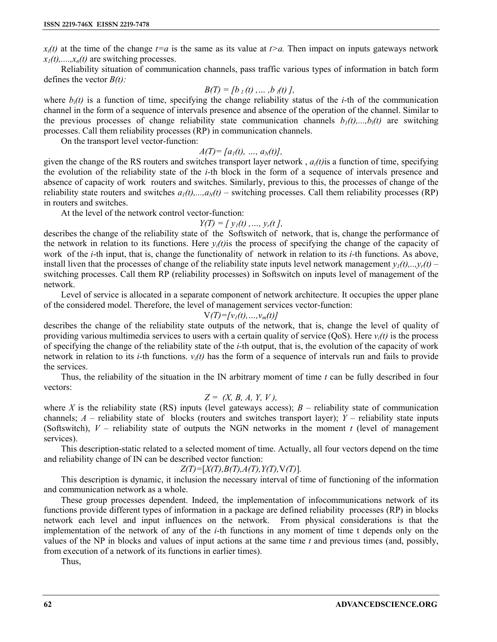$x_i(t)$  at the time of the change  $t=a$  is the same as its value at  $t>a$ . Then impact on inputs gateways network  $x_1(t), \ldots, x_n(t)$  are switching processes.

Reliability situation of communication channels, pass traffic various types of information in batch form defines the vector *B(t):* 

$$
B(T) = [b_1(t), \ldots, b_l(t)],
$$

where  $b_i(t)$  is a function of time, specifying the change reliability status of the *i*-th of the communication channel in the form of a sequence of intervals presence and absence of the operation of the channel. Similar to the previous processes of change reliability state communication channels  $b_1(t),...,b_l(t)$  are switching processes. Call them reliability processes (RP) in communication channels.

On the transport level vector-function:

$$
A(T) = [a_1(t), ..., a_N(t)],
$$

given the change of the RS routers and switches transport layer network,  $a_i(t)$  is a function of time, specifying the evolution of the reliability state of the *i-*th block in the form of a sequence of intervals presence and absence of capacity of work routers and switches. Similarly, previous to this, the processes of change of the reliability state routers and switches  $a_1(t),...,a_N(t)$  – switching processes. Call them reliability processes (RP) in routers and switches.

At the level of the network control vector-function:

$$
Y(T) = [y_1(t), ..., y_r(t)],
$$

describes the change of the reliability state of the Softswitch of network, that is, change the performance of the network in relation to its functions. Here  $y_i(t)$  is the process of specifying the change of the capacity of work of the *i*-th input, that is, change the functionality of network in relation to its *i-*th functions. As above, install liven that the processes of change of the reliability state inputs level network management  $y_i(t),...,y_r(t)$  – switching processes. Call them RP (reliability processes) in Softswitch on inputs level of management of the network.

Level of service is allocated in a separate component of network architecture. It occupies the upper plane of the considered model. Therefore, the level of management services vector-function:

 $V(T) = [v_1(t), ..., v_m(t)]$ 

describes the change of the reliability state outputs of the network, that is, change the level of quality of providing various multimedia services to users with a certain quality of service (QoS). Here *vi(t)* is the process of specifying the change of the reliability state of the *i-*th output, that is, the evolution of the capacity of work network in relation to its *i*-th functions.  $v_i(t)$  has the form of a sequence of intervals run and fails to provide the services.

Thus, the reliability of the situation in the IN arbitrary moment of time *t* can be fully described in four vectors:

$$
Z = (X, B, A, Y, V),
$$

where *X* is the reliability state (RS) inputs (level gateways access);  $B$  – reliability state of communication channels;  $A$  – reliability state of blocks (routers and switches transport layer);  $Y$  – reliability state inputs (Softswitch),  $V$  – reliability state of outputs the NGN networks in the moment  $t$  (level of management services).

This description-static related to a selected moment of time. Actually, all four vectors depend on the time and reliability change of IN can be described vector function:

$$
Z(T) = [X(T), B(T), A(T), Y(T), V(T)].
$$

This description is dynamic, it inclusion the necessary interval of time of functioning of the information and communication network as a whole.

These group processes dependent. Indeed, the implementation of infocommunications network of its functions provide different types of information in a package are defined reliability processes (RP) in blocks network each level and input influences on the network. From physical considerations is that the implementation of the network of any of the *i*-th functions in any moment of time t depends only on the values of the NP in blocks and values of input actions at the same time *t* and previous times (and, possibly, from execution of a network of its functions in earlier times).

Thus,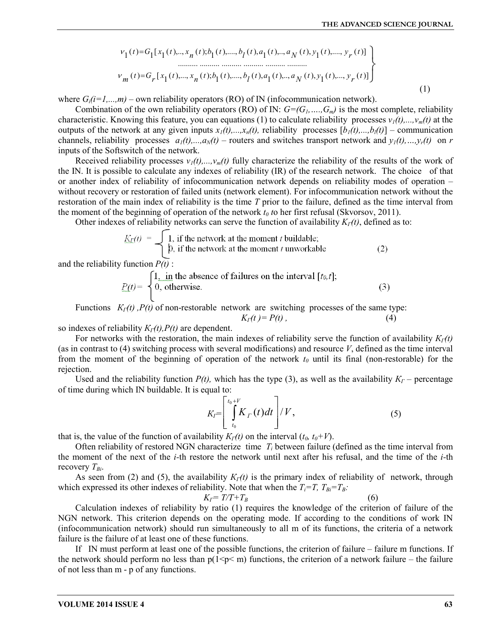$$
v_1(t) = G_1[x_1(t),...,x_n(t);b_1(t),...,b_l(t),a_1(t),...,a_N(t),y_1(t),...,y_r(t)]
$$
  
\n
$$
v_m(t) = G_r[x_1(t),...,x_n(t);b_1(t),...,b_l(t),a_1(t),...,a_N(t),y_1(t),...,y_r(t)]
$$
  
\n(1)

where  $G_i(i=1,...,m)$  – own reliability operators (RO) of IN (infocommunication network).

Combination of the own reliability operators (RO) of IN:  $G=(G_1, ..., G_m)$  is the most complete, reliability characteristic. Knowing this feature, you can equations (1) to calculate reliability processes  $v_1(t),...,v_m(t)$  at the outputs of the network at any given inputs  $x_1(t),...,x_n(t)$ , reliability processes  $[b_1(t),...,b_l(t)]$  – communication channels, reliability processes  $a_1(t),...,a_N(t)$  – routers and switches transport network and  $y_1(t),...,y_r(t)$  on *r* inputs of the Softswitch of the network.

Received reliability processes  $v_1(t),...,v_m(t)$  fully characterize the reliability of the results of the work of the IN. It is possible to calculate any indexes of reliability (IR) of the research network. The choice of that or another index of reliability of infocommunication network depends on reliability modes of operation – without recovery or restoration of failed units (network element). For infocommunication network without the restoration of the main index of reliability is the time *T* prior to the failure, defined as the time interval from the moment of the beginning of operation of the network  $t_0$  to her first refusal (Skvorsov, 2011).

Other indexes of reliability networks can serve the function of availability  $K_I(t)$ , defined as to:

$$
\underline{K_T}(t) = \begin{cases} 1, & \text{if the network at the moment } t \text{ buildable;} \\ 0, & \text{if the network at the moment } t \text{ unworkable} \end{cases}
$$
 (2)

and the reliability function  $P(t)$ :

$$
P(t) = \begin{cases} 1, & \text{in the absence of failures on the interval } [t_0, t]; \\ 0, & \text{otherwise.} \end{cases}
$$
 (3)

Functions  $K_I(t)$ ,  $P(t)$  of non-restorable network are switching processes of the same type:

 $K_{\Gamma}(t) = P(t)$ , (4) so indexes of reliability  $K_I(t)$ ,  $P(t)$  are dependent.

For networks with the restoration, the main indexes of reliability serve the function of availability  $K<sub>1</sub>(t)$ (as in contrast to (4) switching process with several modifications) and resource *V*, defined as the time interval from the moment of the beginning of operation of the network *t<sup>0</sup>* until its final (non-restorable) for the rejection.

Used and the reliability function  $P(t)$ , which has the type (3), as well as the availability  $K_{\Gamma}$  – percentage of time during which IN buildable. It is equal to:

$$
K_{I}=\left[\int_{t_{0}}^{t_{0}+V}K_{\Gamma}(t)dt\right]/V, \qquad (5)
$$

that is, the value of the function of availability  $K_I(t)$  on the interval  $(t_0, t_0 + V)$ .

Often reliability of restored NGN characterize time *T<sup>i</sup>* between failure (defined as the time interval from the moment of the next of the *i-*th restore the network until next after his refusal, and the time of the *i-*th recovery *ТВi*.

As seen from (2) and (5), the availability *КГ(t)* is the primary index of reliability of network, through which expressed its other indexes of reliability. Note that when the  $T_i = T$ ,  $T_{Bi} = T_B$ :

$$
K_{\Gamma} = T/T + T_B \tag{6}
$$

Calculation indexes of reliability by ratio (1) requires the knowledge of the criterion of failure of the NGN network. This criterion depends on the operating mode. If according to the conditions of work IN (infocommunication network) should run simultaneously to all m of its functions, the criteria of a network failure is the failure of at least one of these functions.

If IN must perform at least one of the possible functions, the criterion of failure – failure m functions. If the network should perform no less than  $p(1\leq p\leq m)$  functions, the criterion of a network failure – the failure of not less than m - p of any functions.